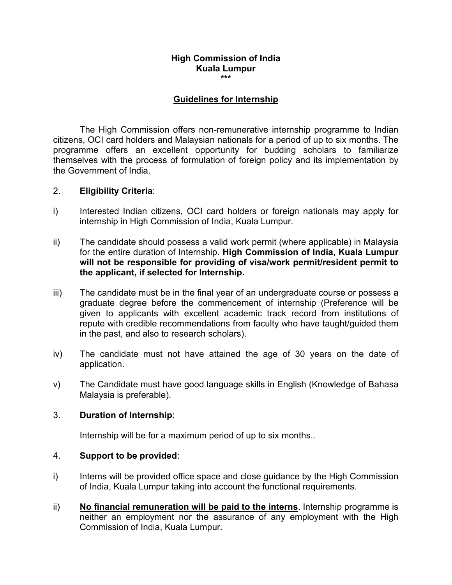## **High Commission of India Kuala Lumpur \*\*\***

#### **Guidelines for Internship**

The High Commission offers non-remunerative internship programme to Indian citizens, OCI card holders and Malaysian nationals for a period of up to six months. The programme offers an excellent opportunity for budding scholars to familiarize themselves with the process of formulation of foreign policy and its implementation by the Government of India.

#### 2. **Eligibility Criteria**:

- i) Interested Indian citizens, OCI card holders or foreign nationals may apply for internship in High Commission of India, Kuala Lumpur.
- ii) The candidate should possess a valid work permit (where applicable) in Malaysia for the entire duration of Internship. **High Commission of India, Kuala Lumpur will not be responsible for providing of visa/work permit/resident permit to the applicant, if selected for Internship.**
- iii) The candidate must be in the final year of an undergraduate course or possess a graduate degree before the commencement of internship (Preference will be given to applicants with excellent academic track record from institutions of repute with credible recommendations from faculty who have taught/guided them in the past, and also to research scholars).
- iv) The candidate must not have attained the age of 30 years on the date of application.
- v) The Candidate must have good language skills in English (Knowledge of Bahasa Malaysia is preferable).

#### 3. **Duration of Internship**:

Internship will be for a maximum period of up to six months..

#### 4. **Support to be provided**:

- i) Interns will be provided office space and close quidance by the High Commission of India, Kuala Lumpur taking into account the functional requirements.
- ii) **No financial remuneration will be paid to the interns**. Internship programme is neither an employment nor the assurance of any employment with the High Commission of India, Kuala Lumpur.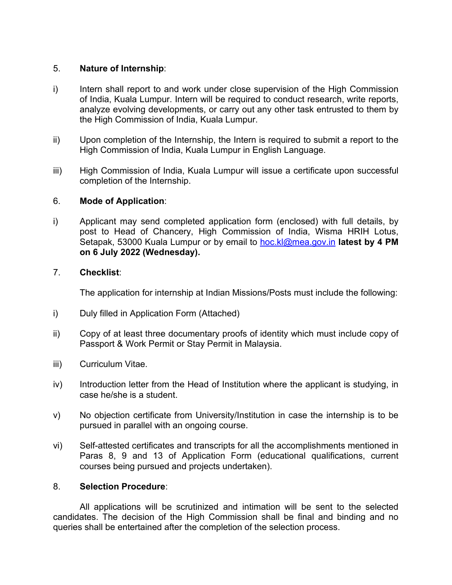### 5. **Nature of Internship**:

- i) Intern shall report to and work under close supervision of the High Commission of India, Kuala Lumpur. Intern will be required to conduct research, write reports, analyze evolving developments, or carry out any other task entrusted to them by the High Commission of India, Kuala Lumpur.
- ii) Upon completion of the Internship, the Intern isrequired to submit a report to the High Commission of India, Kuala Lumpur in English Language.
- iii) High Commission of India, Kuala Lumpur will issue a certificate upon successful completion of the Internship.

## 6. **Mode of Application**:

i) Applicant may send completed application form (enclosed) with full details, by post to Head of Chancery, High Commission of India, Wisma HRIH Lotus, Setapak, 53000 Kuala Lumpur or by email to [hoc.kl@mea.gov.in](mailto:hoc.kl@mea.gov.in) **latest by 4 PM on 6 July 2022 (Wednesday).**

## 7. **Checklist**:

The application for internship at Indian Missions/Posts must include the following:

- i) Duly filled in Application Form (Attached)
- ii) Copy of at least three documentary proofs of identity which must include copy of Passport & Work Permit or Stay Permit in Malaysia.
- iii) Curriculum Vitae.
- iv) Introduction letter from the Head of Institution where the applicant is studying, in case he/she is a student.
- v) No objection certificate from University/Institution in case the internship is to be pursued in parallel with an ongoing course.
- vi) Self-attested certificates and transcripts for all the accomplishments mentioned in Paras 8, 9 and 13 of Application Form (educational qualifications, current courses being pursued and projects undertaken).

#### 8. **Selection Procedure**:

All applications will be scrutinized and intimation will be sent to the selected candidates. The decision of the High Commission shall be final and binding and no queries shall be entertained after the completion of the selection process.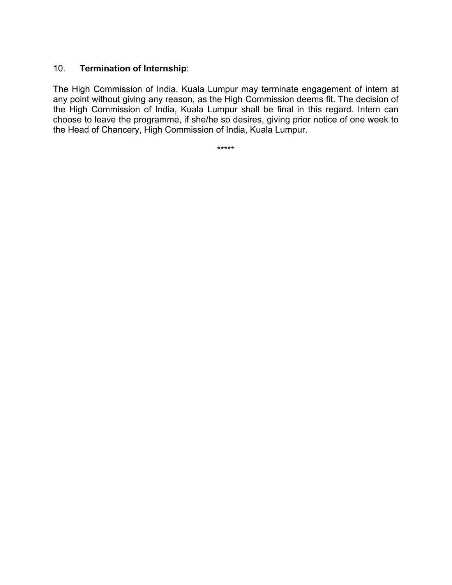## 10. **Termination of Internship**:

The High Commission of India, Kuala Lumpur may terminate engagement of intern at any point without giving any reason, as the High Commission deems fit. The decision of the High Commission of India, Kuala Lumpur shall be final in this regard. Intern can choose to leave the programme, if she/he so desires, giving prior notice of one week to the Head of Chancery, High Commission of India, Kuala Lumpur.

\*\*\*\*\*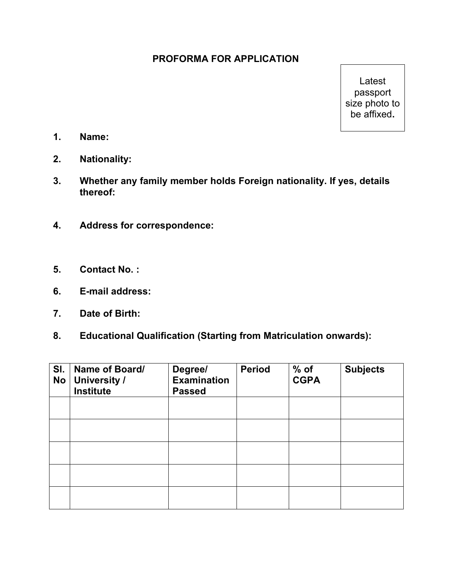# **PROFORMA FOR APPLICATION**

Latest passport size photo to be affixed**.**

- **1. Name:**
- **2. Nationality:**
- **3. Whether any family member holds Foreign nationality. If yes, details thereof:**
- **4. Address for correspondence:**
- **5. Contact No. :**
- **6. E-mail address:**
- **7. Date of Birth:**
- **8. Educational Qualification (Starting from Matriculation onwards):**

| SI.<br><b>No</b> | Name of Board/<br><b>University /</b><br><b>Institute</b> | Degree/<br>Examination<br><b>Passed</b> | <b>Period</b> | $%$ of<br><b>CGPA</b> | <b>Subjects</b> |
|------------------|-----------------------------------------------------------|-----------------------------------------|---------------|-----------------------|-----------------|
|                  |                                                           |                                         |               |                       |                 |
|                  |                                                           |                                         |               |                       |                 |
|                  |                                                           |                                         |               |                       |                 |
|                  |                                                           |                                         |               |                       |                 |
|                  |                                                           |                                         |               |                       |                 |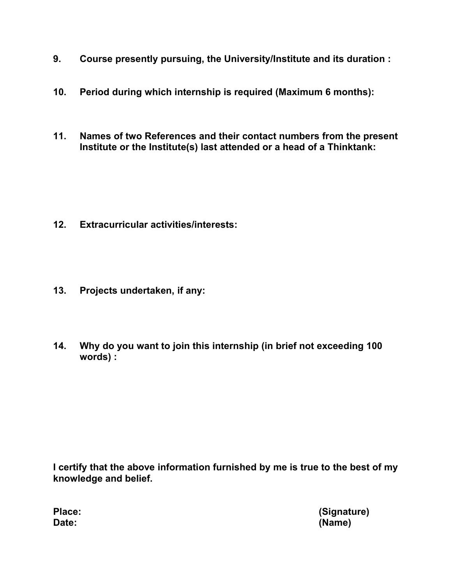- **9. Course presently pursuing, the University/Institute and its duration :**
- **10. Period during which internship is required (Maximum 6 months):**
- **11. Names of two References and their contact numbers from the present Institute or the Institute(s) last attended or a head of a Thinktank:**

- **12. Extracurricular activities/interests:**
- **13. Projects undertaken, if any:**
- **14. Why do you want to join this internship (in brief not exceeding 100 words) :**

**I certify that the above information furnished by me is true to the best of my knowledge and belief.**

**Place: (Signature) Date: (Name)**